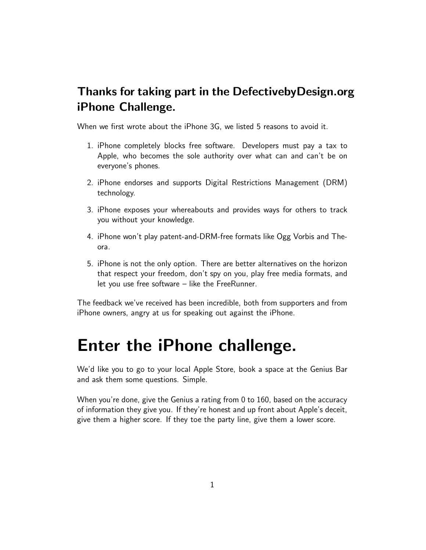#### Thanks for taking part in the DefectivebyDesign.org iPhone Challenge.

When we first wrote about the iPhone 3G, we listed 5 reasons to avoid it.

- 1. iPhone completely blocks free software. Developers must pay a tax to Apple, who becomes the sole authority over what can and can't be on everyone's phones.
- 2. iPhone endorses and supports Digital Restrictions Management (DRM) technology.
- 3. iPhone exposes your whereabouts and provides ways for others to track you without your knowledge.
- 4. iPhone won't play patent-and-DRM-free formats like Ogg Vorbis and Theora.
- 5. iPhone is not the only option. There are better alternatives on the horizon that respect your freedom, don't spy on you, play free media formats, and let you use free software – like the FreeRunner.

The feedback we've received has been incredible, both from supporters and from iPhone owners, angry at us for speaking out against the iPhone.

## Enter the iPhone challenge.

We'd like you to go to your local Apple Store, book a space at the Genius Bar and ask them some questions. Simple.

When you're done, give the Genius a rating from 0 to 160, based on the accuracy of information they give you. If they're honest and up front about Apple's deceit, give them a higher score. If they toe the party line, give them a lower score.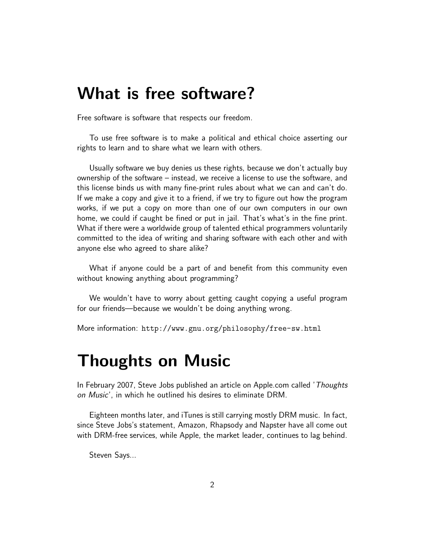#### What is free software?

Free software is software that respects our freedom.

To use free software is to make a political and ethical choice asserting our rights to learn and to share what we learn with others.

Usually software we buy denies us these rights, because we don't actually buy ownership of the software – instead, we receive a license to use the software, and this license binds us with many fine-print rules about what we can and can't do. If we make a copy and give it to a friend, if we try to figure out how the program works, if we put a copy on more than one of our own computers in our own home, we could if caught be fined or put in jail. That's what's in the fine print. What if there were a worldwide group of talented ethical programmers voluntarily committed to the idea of writing and sharing software with each other and with anyone else who agreed to share alike?

What if anyone could be a part of and benefit from this community even without knowing anything about programming?

We wouldn't have to worry about getting caught copying a useful program for our friends—because we wouldn't be doing anything wrong.

More information: http://www.gnu.org/philosophy/free-sw.html

### Thoughts on Music

In February 2007, Steve Jobs published an article on Apple.com called 'Thoughts on Music', in which he outlined his desires to eliminate DRM.

Eighteen months later, and iTunes is still carrying mostly DRM music. In fact, since Steve Jobs's statement, Amazon, Rhapsody and Napster have all come out with DRM-free services, while Apple, the market leader, continues to lag behind.

Steven Says...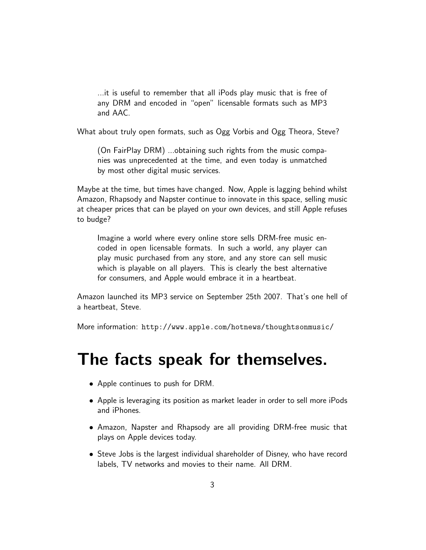...it is useful to remember that all iPods play music that is free of any DRM and encoded in "open" licensable formats such as MP3 and AAC.

What about truly open formats, such as Ogg Vorbis and Ogg Theora, Steve?

(On FairPlay DRM) ...obtaining such rights from the music companies was unprecedented at the time, and even today is unmatched by most other digital music services.

Maybe at the time, but times have changed. Now, Apple is lagging behind whilst Amazon, Rhapsody and Napster continue to innovate in this space, selling music at cheaper prices that can be played on your own devices, and still Apple refuses to budge?

Imagine a world where every online store sells DRM-free music encoded in open licensable formats. In such a world, any player can play music purchased from any store, and any store can sell music which is playable on all players. This is clearly the best alternative for consumers, and Apple would embrace it in a heartbeat.

Amazon launched its MP3 service on September 25th 2007. That's one hell of a heartbeat, Steve.

More information: http://www.apple.com/hotnews/thoughtsonmusic/

#### The facts speak for themselves.

- Apple continues to push for DRM.
- Apple is leveraging its position as market leader in order to sell more iPods and iPhones.
- Amazon, Napster and Rhapsody are all providing DRM-free music that plays on Apple devices today.
- Steve Jobs is the largest individual shareholder of Disney, who have record labels, TV networks and movies to their name. All DRM.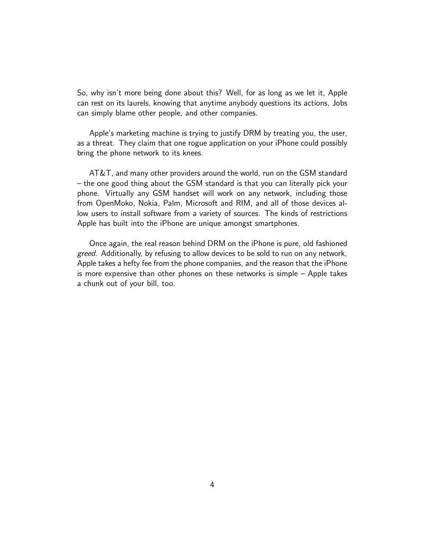So, why isn't more being done about this? Well, for as long as we let it, Apple can rest on its laurels, knowing that anytime anybody questions its actions, Jobs can simply blame other people, and other companies.

Apple's marketing machine is trying to justify DRM by treating you, the user, as a threat. They claim that one rogue application on your iPhone could possibly bring the phone network to its knees.

AT&T, and many other providers around the world, run on the GSM standard – the one good thing about the GSM standard is that you can literally pick your phone. Virtually any GSM handset will work on any network, including those from OpenMoko, Nokia, Palm, Microsoft and RIM, and all of those devices allow users to install software from a variety of sources. The kinds of restrictions Apple has built into the iPhone are unique amongst smartphones.

Once again, the real reason behind DRM on the iPhone is pure, old fashioned greed. Additionally, by refusing to allow devices to be sold to run on any network, Apple takes a hefty fee from the phone companies, and the reason that the iPhone is more expensive than other phones on these networks is simple – Apple takes a chunk out of your bill, too.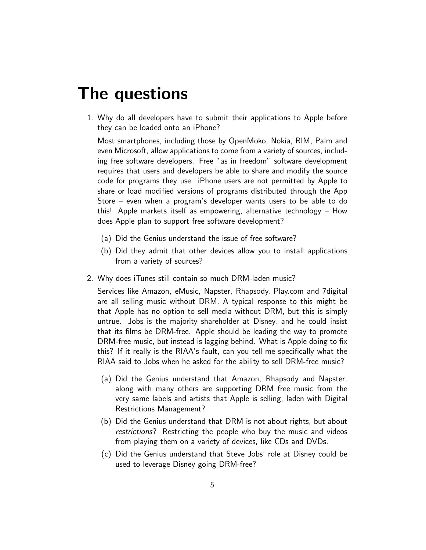### The questions

1. Why do all developers have to submit their applications to Apple before they can be loaded onto an iPhone?

Most smartphones, including those by OpenMoko, Nokia, RIM, Palm and even Microsoft, allow applications to come from a variety of sources, including free software developers. Free "as in freedom" software development requires that users and developers be able to share and modify the source code for programs they use. iPhone users are not permitted by Apple to share or load modified versions of programs distributed through the App Store – even when a program's developer wants users to be able to do this! Apple markets itself as empowering, alternative technology – How does Apple plan to support free software development?

- (a) Did the Genius understand the issue of free software?
- (b) Did they admit that other devices allow you to install applications from a variety of sources?
- 2. Why does iTunes still contain so much DRM-laden music?

Services like Amazon, eMusic, Napster, Rhapsody, Play.com and 7digital are all selling music without DRM. A typical response to this might be that Apple has no option to sell media without DRM, but this is simply untrue. Jobs is the majority shareholder at Disney, and he could insist that its films be DRM-free. Apple should be leading the way to promote DRM-free music, but instead is lagging behind. What is Apple doing to fix this? If it really is the RIAA's fault, can you tell me specifically what the RIAA said to Jobs when he asked for the ability to sell DRM-free music?

- (a) Did the Genius understand that Amazon, Rhapsody and Napster, along with many others are supporting DRM free music from the very same labels and artists that Apple is selling, laden with Digital Restrictions Management?
- (b) Did the Genius understand that DRM is not about rights, but about restrictions? Restricting the people who buy the music and videos from playing them on a variety of devices, like CDs and DVDs.
- (c) Did the Genius understand that Steve Jobs' role at Disney could be used to leverage Disney going DRM-free?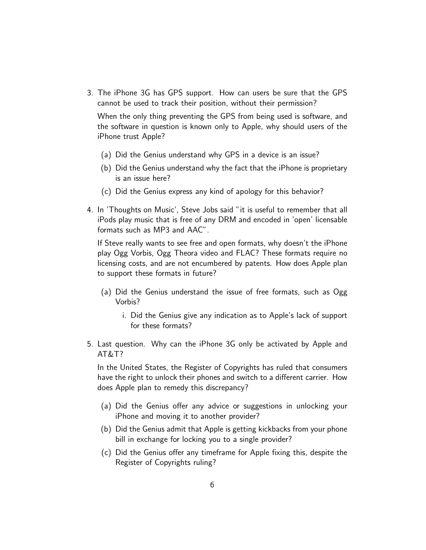3. The iPhone 3G has GPS support. How can users be sure that the GPS cannot be used to track their position, without their permission?

When the only thing preventing the GPS from being used is software, and the software in question is known only to Apple, why should users of the iPhone trust Apple?

- (a) Did the Genius understand why GPS in a device is an issue?
- (b) Did the Genius understand why the fact that the iPhone is proprietary is an issue here?
- (c) Did the Genius express any kind of apology for this behavior?
- 4. In 'Thoughts on Music', Steve Jobs said "it is useful to remember that all iPods play music that is free of any DRM and encoded in 'open' licensable formats such as MP3 and AAC".

If Steve really wants to see free and open formats, why doesn't the iPhone play Ogg Vorbis, Ogg Theora video and FLAC? These formats require no licensing costs, and are not encumbered by patents. How does Apple plan to support these formats in future?

- (a) Did the Genius understand the issue of free formats, such as Ogg Vorbis?
	- i. Did the Genius give any indication as to Apple's lack of support for these formats?
- 5. Last question. Why can the iPhone 3G only be activated by Apple and AT&T?

In the United States, the Register of Copyrights has ruled that consumers have the right to unlock their phones and switch to a different carrier. How does Apple plan to remedy this discrepancy?

- (a) Did the Genius offer any advice or suggestions in unlocking your iPhone and moving it to another provider?
- (b) Did the Genius admit that Apple is getting kickbacks from your phone bill in exchange for locking you to a single provider?
- (c) Did the Genius offer any timeframe for Apple fixing this, despite the Register of Copyrights ruling?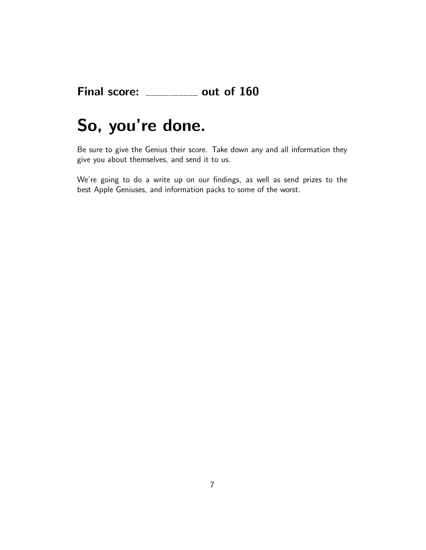#### Final score:  $\frac{1}{2}$  = 0ut of 160

## So, you're done.

Be sure to give the Genius their score. Take down any and all information they give you about themselves, and send it to us.

We're going to do a write up on our findings, as well as send prizes to the best Apple Geniuses, and information packs to some of the worst.